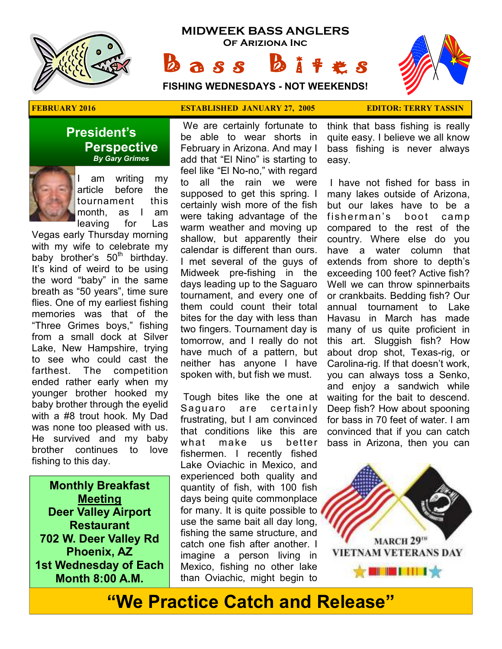

## **MIDWEEK BASS ANGLERS Of Ariziona Inc**

 $\mathbf{a} s s$   $\mathbf{b}$ 

**FISHING WEDNESDAYS - NOT WEEKENDS!**



#### **President's Perspective**   *By Gary Grimes*



am writing my article before the tournament this month, as I am leaving for Las

Vegas early Thursday morning with my wife to celebrate my baby brother's  $50<sup>th</sup>$  birthday. It's kind of weird to be using the word "baby" in the same breath as "50 years", time sure flies. One of my earliest fishing memories was that of the "Three Grimes boys," fishing from a small dock at Silver Lake, New Hampshire, trying to see who could cast the farthest. The competition ended rather early when my younger brother hooked my baby brother through the eyelid with a #8 trout hook. My Dad was none too pleased with us. He survived and my baby brother continues to love fishing to this day.

**Monthly Breakfast Meeting Deer Valley Airport Restaurant 702 W. Deer Valley Rd Phoenix, AZ 1st Wednesday of Each Month 8:00 A.M.** 

#### **FEBRUARY 2016 ESTABLISHED JANUARY 27, 2005 EDITOR: TERRY TASSIN**

 We are certainly fortunate to be able to wear shorts in February in Arizona. And may I add that "El Nino" is starting to feel like "El No-no," with regard to all the rain we were supposed to get this spring. I certainly wish more of the fish were taking advantage of the warm weather and moving up shallow, but apparently their calendar is different than ours. I met several of the guys of Midweek pre-fishing in the days leading up to the Saguaro tournament, and every one of them could count their total bites for the day with less than two fingers. Tournament day is tomorrow, and I really do not have much of a pattern, but neither has anyone I have spoken with, but fish we must.

 Tough bites like the one at Saguaro are certainly frustrating, but I am convinced that conditions like this are what make us better fishermen. I recently fished Lake Oviachic in Mexico, and experienced both quality and quantity of fish, with 100 fish days being quite commonplace for many. It is quite possible to use the same bait all day long, fishing the same structure, and catch one fish after another. I imagine a person living in Mexico, fishing no other lake than Oviachic, might begin to

think that bass fishing is really quite easy. I believe we all know bass fishing is never always easy.

 I have not fished for bass in many lakes outside of Arizona, but our lakes have to be a fisherman's boot camp compared to the rest of the country. Where else do you have a water column that extends from shore to depth's exceeding 100 feet? Active fish? Well we can throw spinnerbaits or crankbaits. Bedding fish? Our annual tournament to Lake Havasu in March has made many of us quite proficient in this art. Sluggish fish? How about drop shot, Texas-rig, or Carolina-rig. If that doesn't work, you can always toss a Senko, and enjoy a sandwich while waiting for the bait to descend. Deep fish? How about spooning for bass in 70 feet of water. I am convinced that if you can catch bass in Arizona, then you can



# **"We Practice Catch and Release"**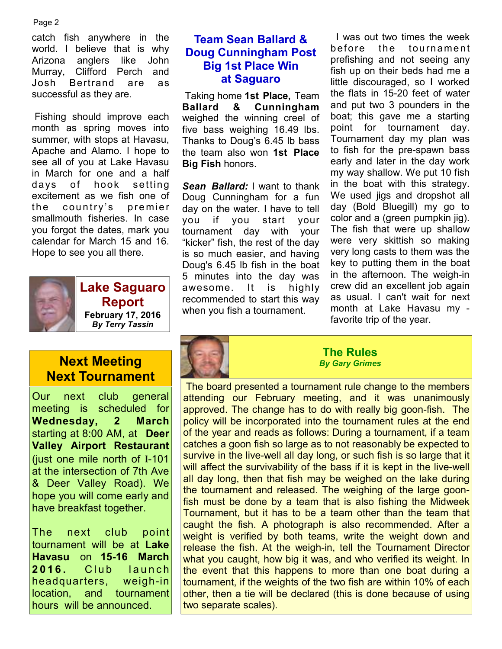#### Page 2

catch fish anywhere in the world. I believe that is why Arizona anglers like John Murray, Clifford Perch and Josh Bertrand are as successful as they are.

 Fishing should improve each month as spring moves into summer, with stops at Havasu, Apache and Alamo. I hope to see all of you at Lake Havasu in March for one and a half days of hook setting excitement as we fish one of the country's premier smallmouth fisheries. In case you forgot the dates, mark you calendar for March 15 and 16. Hope to see you all there.



**Lake Saguaro Report February 17, 2016**  *By Terry Tassin* 

## **Next Meeting Next Tournament**

Our next club general meeting is scheduled for **Wednesday, 2 March**  starting at 8:00 AM, at **Deer Valley Airport Restaurant**  (just one mile north of I-101 at the intersection of 7th Ave & Deer Valley Road). We hope you will come early and have breakfast together.

The next club point tournament will be at **Lake Havasu** on **15-16 March 2016.** Club launch headquarters, weigh-in location, and tournament hours will be announced.

#### **Team Sean Ballard & Doug Cunningham Post Big 1st Place Win at Saguaro**

 Taking home **1st Place,** Team **Ballard & Cunningham**  weighed the winning creel of five bass weighing 16.49 lbs. Thanks to Doug's 6.45 lb bass the team also won **1st Place Big Fish** honors.

**Sean Ballard:** I want to thank Doug Cunningham for a fun day on the water. I have to tell you if you start your tournament day with your "kicker" fish, the rest of the day is so much easier, and having Doug's 6.45 lb fish in the boat 5 minutes into the day was awesome. It is highly recommended to start this way when you fish a tournament.

 I was out two times the week before the tournament prefishing and not seeing any fish up on their beds had me a little discouraged, so I worked the flats in 15-20 feet of water and put two 3 pounders in the boat; this gave me a starting point for tournament day. Tournament day my plan was to fish for the pre-spawn bass early and later in the day work my way shallow. We put 10 fish in the boat with this strategy. We used jigs and dropshot all day (Bold Bluegill) my go to color and a (green pumpkin jig). The fish that were up shallow were very skittish so making very long casts to them was the key to putting them in the boat in the afternoon. The weigh-in crew did an excellent job again as usual. I can't wait for next month at Lake Havasu my favorite trip of the year.



**The Rules**  *By Gary Grimes* 

 The board presented a tournament rule change to the members attending our February meeting, and it was unanimously approved. The change has to do with really big goon-fish. The policy will be incorporated into the tournament rules at the end of the year and reads as follows: During a tournament, if a team catches a goon fish so large as to not reasonably be expected to survive in the live-well all day long, or such fish is so large that it will affect the survivability of the bass if it is kept in the live-well all day long, then that fish may be weighed on the lake during the tournament and released. The weighing of the large goonfish must be done by a team that is also fishing the Midweek Tournament, but it has to be a team other than the team that caught the fish. A photograph is also recommended. After a weight is verified by both teams, write the weight down and release the fish. At the weigh-in, tell the Tournament Director what you caught, how big it was, and who verified its weight. In the event that this happens to more than one boat during a tournament, if the weights of the two fish are within 10% of each other, then a tie will be declared (this is done because of using two separate scales).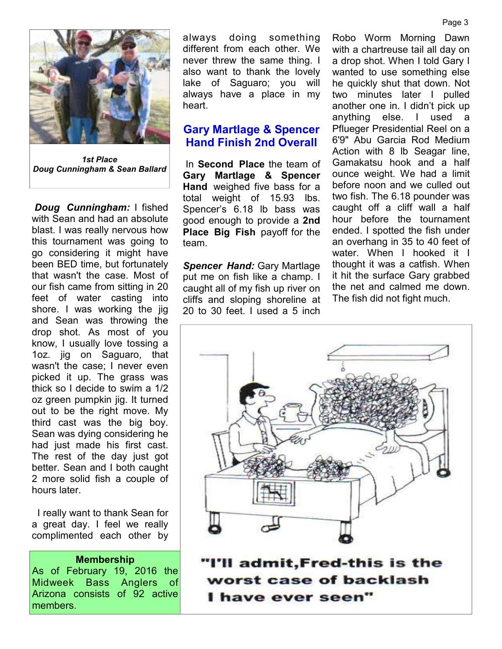

*1st Place Doug Cunningham & Sean Ballard* 

*Doug Cunningham:* I fished with Sean and had an absolute blast. I was really nervous how this tournament was going to go considering it might have been BED time, but fortunately that wasn't the case. Most of our fish came from sitting in 20 feet of water casting into shore. I was working the jig and Sean was throwing the drop shot. As most of you know, I usually love tossing a 1oz. jig on Saguaro, that wasn't the case; I never even picked it up. The grass was thick so I decide to swim a 1/2 oz green pumpkin jig. It turned out to be the right move. My third cast was the big boy. Sean was dying considering he had just made his first cast. The rest of the day just got better. Sean and I both caught 2 more solid fish a couple of hours later.

 I really want to thank Sean for a great day. I feel we really complimented each other by

#### **Membership**

As of February 19, 2016 the Midweek Bass Anglers of Arizona consists of 92 active members.

always doing something different from each other. We never threw the same thing. I also want to thank the lovely lake of Saguaro; you will always have a place in my heart.

#### **Gary Martlage & Spencer Hand Finish 2nd Overall**

 In **Second Place** the team of **Gary Martlage & Spencer Hand** weighed five bass for a total weight of 15.93 lbs. Spencer's 6.18 lb bass was good enough to provide a **2nd Place Big Fish** payoff for the team.

*Spencer Hand:* Gary Martlage put me on fish like a champ. I caught all of my fish up river on cliffs and sloping shoreline at 20 to 30 feet. I used a 5 inch.

Robo Worm Morning Dawn with a chartreuse tail all day on a drop shot. When I told Gary I wanted to use something else he quickly shut that down. Not two minutes later I pulled another one in. I didn't pick up anything else. I used a Pflueger Presidential Reel on a 6'9" Abu Garcia Rod Medium Action with 8 lb Seagar line, Gamakatsu hook and a half ounce weight. We had a limit before noon and we culled out two fish. The 6.18 pounder was caught off a cliff wall a half hour before the tournament ended. I spotted the fish under an overhang in 35 to 40 feet of water. When I hooked it I thought it was a catfish. When it hit the surface Gary grabbed the net and calmed me down. The fish did not fight much.



worst case of backlash I have ever seen"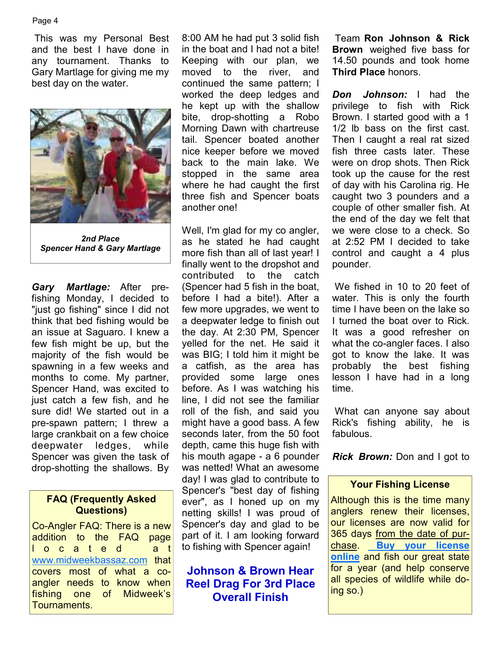#### Page 4

 This was my Personal Best and the best I have done in any tournament. Thanks to Gary Martlage for giving me my best day on the water.



*2nd Place Spencer Hand & Gary Martlage* 

*Gary Martlage:* After prefishing Monday, I decided to "just go fishing" since I did not think that bed fishing would be an issue at Saguaro. I knew a few fish might be up, but the majority of the fish would be spawning in a few weeks and months to come. My partner, Spencer Hand, was excited to just catch a few fish, and he sure did! We started out in a pre-spawn pattern; I threw a large crankbait on a few choice deepwater ledges, while Spencer was given the task of drop-shotting the shallows. By

#### **FAQ (Frequently Asked Questions)**

Co-Angler FAQ: There is a new addition to the FAQ page l o c a t e d a t www.midweekbassaz.com that covers most of what a coangler needs to know when fishing one of Midweek's Tournaments.

8:00 AM he had put 3 solid fish in the boat and I had not a bite! Keeping with our plan, we moved to the river, and continued the same pattern; I worked the deep ledges and he kept up with the shallow bite, drop-shotting a Robo Morning Dawn with chartreuse tail. Spencer boated another nice keeper before we moved back to the main lake. We stopped in the same area where he had caught the first three fish and Spencer boats another one!

Well, I'm glad for my co angler, as he stated he had caught more fish than all of last year! I finally went to the dropshot and contributed to the catch (Spencer had 5 fish in the boat, before I had a bite!). After a few more upgrades, we went to a deepwater ledge to finish out the day. At 2:30 PM, Spencer yelled for the net. He said it was BIG; I told him it might be a catfish, as the area has provided some large ones before. As I was watching his line, I did not see the familiar roll of the fish, and said you might have a good bass. A few seconds later, from the 50 foot depth, came this huge fish with his mouth agape - a 6 pounder was netted! What an awesome day! I was glad to contribute to Spencer's "best day of fishing ever", as I honed up on my netting skills! I was proud of Spencer's day and glad to be part of it. I am looking forward to fishing with Spencer again!

### **Johnson & Brown Hear Reel Drag For 3rd Place Overall Finish**

 Team **Ron Johnson & Rick Brown** weighed five bass for 14.50 pounds and took home **Third Place** honors.

*Don Johnson:* I had the privilege to fish with Rick Brown. I started good with a 1 1/2 lb bass on the first cast. Then I caught a real rat sized fish three casts later. These were on drop shots. Then Rick took up the cause for the rest of day with his Carolina rig. He caught two 3 pounders and a couple of other smaller fish. At the end of the day we felt that we were close to a check. So at 2:52 PM I decided to take control and caught a 4 plus pounder.

 We fished in 10 to 20 feet of water. This is only the fourth time I have been on the lake so I turned the boat over to Rick. It was a good refresher on what the co-angler faces. I also got to know the lake. It was probably the best fishing lesson I have had in a long time.

 What can anyone say about Rick's fishing ability, he is fabulous.

*Rick Brown:* Don and I got to

#### **Your Fishing License**

Although this is the time many anglers renew their licenses, our licenses are now valid for 365 days from the date of purchase. **Buy your license online** and fish our great state for a year (and help conserve all species of wildlife while doing so.)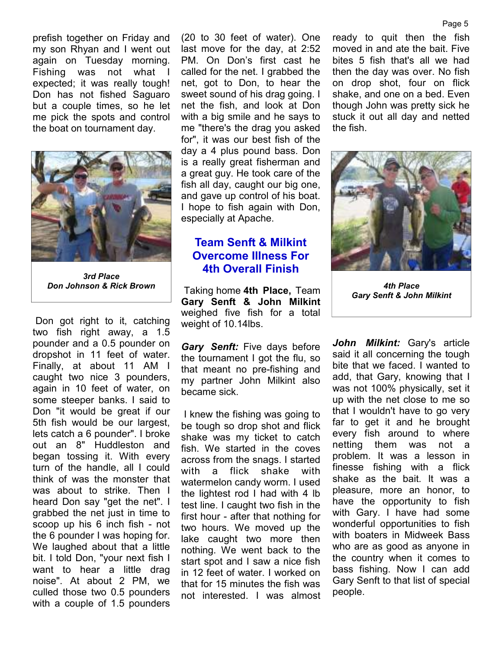prefish together on Friday and my son Rhyan and I went out again on Tuesday morning. Fishing was not what I expected; it was really tough! Don has not fished Saguaro but a couple times, so he let me pick the spots and control the boat on tournament day.



*3rd Place* 

 Don got right to it, catching two fish right away, a 1.5 pounder and a 0.5 pounder on dropshot in 11 feet of water. Finally, at about 11 AM I caught two nice 3 pounders, again in 10 feet of water, on some steeper banks. I said to Don "it would be great if our 5th fish would be our largest, lets catch a 6 pounder". I broke out an 8" Huddleston and began tossing it. With every turn of the handle, all I could think of was the monster that was about to strike. Then I heard Don say "get the net". I grabbed the net just in time to scoop up his 6 inch fish - not the 6 pounder I was hoping for. We laughed about that a little bit. I told Don, "your next fish I want to hear a little drag noise". At about 2 PM, we culled those two 0.5 pounders with a couple of 1.5 pounders

(20 to 30 feet of water). One last move for the day, at 2:52 PM. On Don's first cast he called for the net. I grabbed the net, got to Don, to hear the sweet sound of his drag going. I net the fish, and look at Don with a big smile and he says to me "there's the drag you asked for", it was our best fish of the day a 4 plus pound bass. Don is a really great fisherman and a great guy. He took care of the fish all day, caught our big one, and gave up control of his boat. I hope to fish again with Don, especially at Apache.

## **Team Senft & Milkint Overcome Illness For 4th Overall Finish**

 Taking home **4th Place,** Team *Don Johnson & Rick Brown 4th Place*  **Gary Senft & John Milkint**  weighed five fish for a total weight of 10.14lbs.

> *Gary Senft:* Five days before the tournament I got the flu, so that meant no pre-fishing and my partner John Milkint also became sick.

 I knew the fishing was going to be tough so drop shot and flick shake was my ticket to catch fish. We started in the coves across from the snags. I started with a flick shake with watermelon candy worm. I used the lightest rod I had with 4 lb test line. I caught two fish in the first hour - after that nothing for two hours. We moved up the lake caught two more then nothing. We went back to the start spot and I saw a nice fish in 12 feet of water. I worked on that for 15 minutes the fish was not interested. I was almost ready to quit then the fish moved in and ate the bait. Five bites 5 fish that's all we had then the day was over. No fish on drop shot, four on flick shake, and one on a bed. Even though John was pretty sick he stuck it out all day and netted the fish.



*Gary Senft & John Milkint* 

*John Milkint:* Gary's article said it all concerning the tough bite that we faced. I wanted to add, that Gary, knowing that I was not 100% physically, set it up with the net close to me so that I wouldn't have to go very far to get it and he brought every fish around to where netting them was not a problem. It was a lesson in finesse fishing with a flick shake as the bait. It was a pleasure, more an honor, to have the opportunity to fish with Gary. I have had some wonderful opportunities to fish with boaters in Midweek Bass who are as good as anyone in the country when it comes to bass fishing. Now I can add Gary Senft to that list of special people.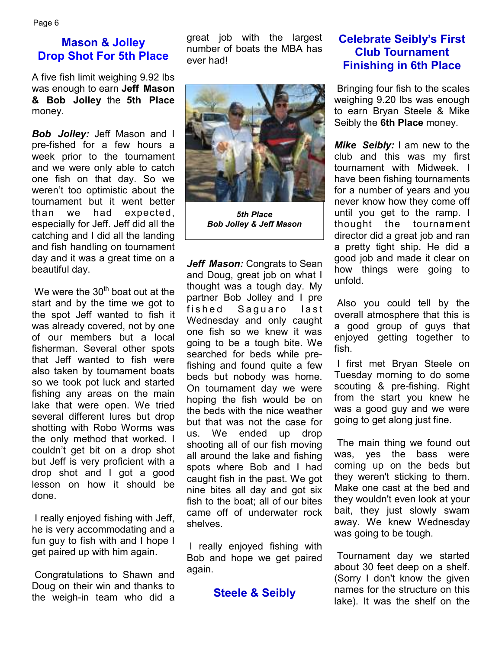## **Mason & Jolley Drop Shot For 5th Place**

A five fish limit weighing 9.92 lbs was enough to earn **Jeff Mason & Bob Jolley** the **5th Place**  money.

*Bob Jolley:* Jeff Mason and I pre-fished for a few hours a week prior to the tournament and we were only able to catch one fish on that day. So we weren't too optimistic about the tournament but it went better than we had expected, especially for Jeff. Jeff did all the catching and I did all the landing and fish handling on tournament day and it was a great time on a beautiful day.

We were the  $30<sup>th</sup>$  boat out at the start and by the time we got to the spot Jeff wanted to fish it was already covered, not by one of our members but a local fisherman. Several other spots that Jeff wanted to fish were also taken by tournament boats so we took pot luck and started fishing any areas on the main lake that were open. We tried several different lures but drop shotting with Robo Worms was the only method that worked. I couldn't get bit on a drop shot but Jeff is very proficient with a drop shot and I got a good lesson on how it should be done.

 I really enjoyed fishing with Jeff, he is very accommodating and a fun guy to fish with and I hope I get paired up with him again.

 Congratulations to Shawn and Doug on their win and thanks to the weigh-in team who did a

great job with the largest number of boats the MBA has ever had!



*5th Place Bob Jolley & Jeff Mason* 

*Jeff Mason:* Congrats to Sean and Doug, great job on what I thought was a tough day. My partner Bob Jolley and I pre fished Saquaro last Wednesday and only caught one fish so we knew it was going to be a tough bite. We searched for beds while prefishing and found quite a few beds but nobody was home. On tournament day we were hoping the fish would be on the beds with the nice weather but that was not the case for us. We ended up drop shooting all of our fish moving all around the lake and fishing spots where Bob and I had caught fish in the past. We got nine bites all day and got six fish to the boat; all of our bites came off of underwater rock shelves.

 I really enjoyed fishing with Bob and hope we get paired again.

#### **Steele & Seibly**

### **Celebrate Seibly's First Club Tournament Finishing in 6th Place**

 Bringing four fish to the scales weighing 9.20 lbs was enough to earn Bryan Steele & Mike Seibly the **6th Place** money.

*Mike Seibly:* I am new to the club and this was my first tournament with Midweek. I have been fishing tournaments for a number of years and you never know how they come off until you get to the ramp. I thought the tournament director did a great job and ran a pretty tight ship. He did a good job and made it clear on how things were going to unfold.

 Also you could tell by the overall atmosphere that this is a good group of guys that enjoyed getting together to fish.

 I first met Bryan Steele on Tuesday morning to do some scouting & pre-fishing. Right from the start you knew he was a good guy and we were going to get along just fine.

 The main thing we found out was, yes the bass were coming up on the beds but they weren't sticking to them. Make one cast at the bed and they wouldn't even look at your bait, they just slowly swam away. We knew Wednesday was going to be tough.

 Tournament day we started about 30 feet deep on a shelf. (Sorry I don't know the given names for the structure on this lake). It was the shelf on the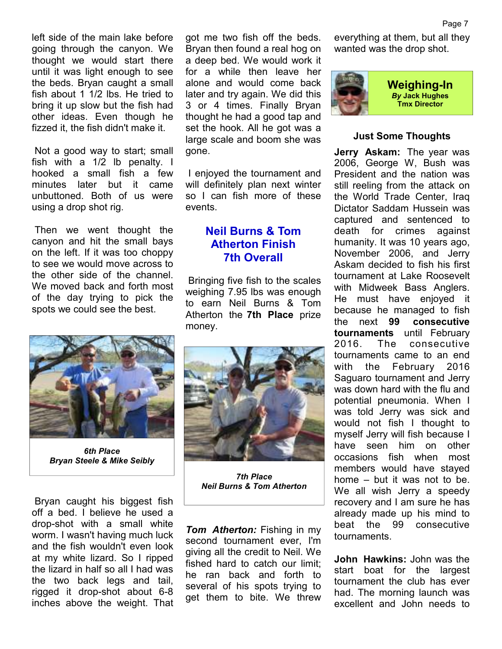left side of the main lake before going through the canyon. We thought we would start there until it was light enough to see the beds. Bryan caught a small fish about 1 1/2 lbs. He tried to bring it up slow but the fish had other ideas. Even though he fizzed it, the fish didn't make it.

 Not a good way to start; small fish with a 1/2 lb penalty. I hooked a small fish a few minutes later but it came unbuttoned. Both of us were using a drop shot rig.

 Then we went thought the canyon and hit the small bays on the left. If it was too choppy to see we would move across to the other side of the channel. We moved back and forth most of the day trying to pick the spots we could see the best.



*6th Place Bryan Steele & Mike Seibly* 

 Bryan caught his biggest fish off a bed. I believe he used a drop-shot with a small white worm. I wasn't having much luck and the fish wouldn't even look at my white lizard. So I ripped the lizard in half so all I had was the two back legs and tail, rigged it drop-shot about 6-8 inches above the weight. That

got me two fish off the beds. Bryan then found a real hog on a deep bed. We would work it for a while then leave her alone and would come back later and try again. We did this 3 or 4 times. Finally Bryan thought he had a good tap and set the hook. All he got was a large scale and boom she was gone.

 I enjoyed the tournament and will definitely plan next winter so I can fish more of these events.

#### **Neil Burns & Tom Atherton Finish 7th Overall**

 Bringing five fish to the scales weighing 7.95 lbs was enough to earn Neil Burns & Tom Atherton the **7th Place** prize money.



*7th Place Neil Burns & Tom Atherton* 

*Tom Atherton:* Fishing in my second tournament ever, I'm giving all the credit to Neil. We fished hard to catch our limit; he ran back and forth to several of his spots trying to get them to bite. We threw

everything at them, but all they wanted was the drop shot.



#### **Just Some Thoughts**

**Jerry Askam:** The year was 2006, George W, Bush was President and the nation was still reeling from the attack on the World Trade Center, Iraq Dictator Saddam Hussein was captured and sentenced to death for crimes against humanity. It was 10 years ago, November 2006, and Jerry Askam decided to fish his first tournament at Lake Roosevelt with Midweek Bass Anglers. He must have enjoyed it because he managed to fish the next **99 consecutive tournaments** until February 2016. The consecutive tournaments came to an end with the February 2016 Saguaro tournament and Jerry was down hard with the flu and potential pneumonia. When I was told Jerry was sick and would not fish I thought to myself Jerry will fish because I have seen him on other occasions fish when most members would have stayed home – but it was not to be. We all wish Jerry a speedy recovery and I am sure he has already made up his mind to beat the 99 consecutive tournaments.

**John Hawkins:** John was the start boat for the largest tournament the club has ever had. The morning launch was excellent and John needs to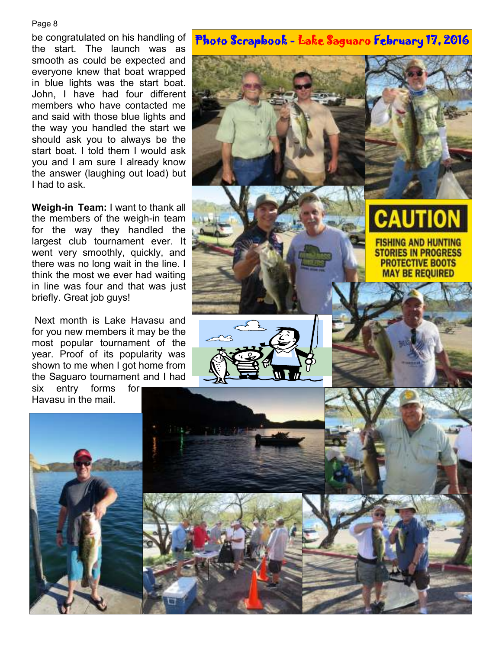#### Page 8

be congratulated on his handling of the start. The launch was as smooth as could be expected and everyone knew that boat wrapped in blue lights was the start boat. John, I have had four different members who have contacted me and said with those blue lights and the way you handled the start we should ask you to always be the start boat. I told them I would ask you and I am sure I already know the answer (laughing out load) but I had to ask.

**Weigh-in Team:** I want to thank all the members of the weigh-in team for the way they handled the largest club tournament ever. It went very smoothly, quickly, and there was no long wait in the line. I think the most we ever had waiting in line was four and that was just briefly. Great job guys!

 Next month is Lake Havasu and for you new members it may be the most popular tournament of the year. Proof of its popularity was shown to me when I got home from the Saguaro tournament and I had

six entry forms for Havasu in the mail.

## Photo Scrapbook - Lake Saguaro February 17, 2016